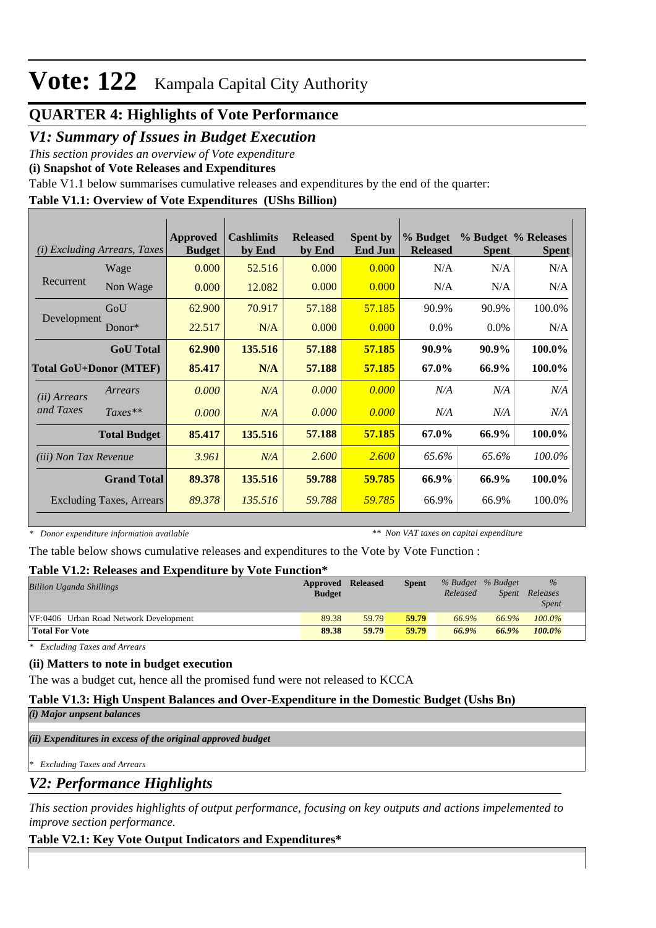## **QUARTER 4: Highlights of Vote Performance**

### *V1: Summary of Issues in Budget Execution*

*This section provides an overview of Vote expenditure* 

**(i) Snapshot of Vote Releases and Expenditures**

Table V1.1 below summarises cumulative releases and expenditures by the end of the quarter:

### **Table V1.1: Overview of Vote Expenditures (UShs Billion)**

| (i)                          | <b>Excluding Arrears, Taxes</b> | Approved<br><b>Budget</b> | <b>Cashlimits</b><br>by End | <b>Released</b><br>by End | <b>Spent by</b><br><b>End Jun</b> | % Budget<br><b>Released</b> | <b>Spent</b> | % Budget % Releases<br><b>Spent</b> |
|------------------------------|---------------------------------|---------------------------|-----------------------------|---------------------------|-----------------------------------|-----------------------------|--------------|-------------------------------------|
|                              | Wage                            | 0.000                     | 52.516                      | 0.000                     | 0.000                             | N/A                         | N/A          | N/A                                 |
| Recurrent                    | Non Wage                        | 0.000                     | 12.082                      | 0.000                     | 0.000                             | N/A                         | N/A          | N/A                                 |
|                              | GoU                             | 62.900                    | 70.917                      | 57.188                    | 57.185                            | 90.9%                       | 90.9%        | 100.0%                              |
| Development                  | $Donor*$                        | 22.517                    | N/A                         | 0.000                     | 0.000                             | $0.0\%$                     | $0.0\%$      | N/A                                 |
|                              | <b>GoU</b> Total                | 62.900                    | 135.516                     | 57.188                    | 57.185                            | 90.9%                       | 90.9%        | 100.0%                              |
|                              | <b>Total GoU+Donor (MTEF)</b>   |                           | N/A                         | 57.188                    | <b>57.185</b>                     | 67.0%                       | 66.9%        | 100.0%                              |
| ( <i>ii</i> ) Arrears        | Arrears                         | 0.000                     | N/A                         | 0.000                     | 0.000                             | N/A                         | N/A          | N/A                                 |
| and Taxes                    | $Taxes**$                       | 0.000                     | N/A                         | 0.000                     | 0.000                             | N/A                         | N/A          | N/A                                 |
|                              | <b>Total Budget</b>             | 85.417                    | 135.516                     | 57.188                    | 57.185                            | 67.0%                       | 66.9%        | 100.0%                              |
| <i>(iii)</i> Non Tax Revenue |                                 | 3.961                     | N/A                         | 2.600                     | 2.600                             | 65.6%                       | 65.6%        | 100.0%                              |
|                              | <b>Grand Total</b>              | 89.378                    | 135.516                     | 59.788                    | 59.785                            | 66.9%                       | 66.9%        | 100.0%                              |
|                              | <b>Excluding Taxes, Arrears</b> | 89.378                    | 135.516                     | 59.788                    | 59.785                            | 66.9%                       | 66.9%        | 100.0%                              |

*\* Donor expenditure information available*

*\*\* Non VAT taxes on capital expenditure*

The table below shows cumulative releases and expenditures to the Vote by Vote Function :

### **Table V1.2: Releases and Expenditure by Vote Function\***

| Billion Uganda Shillings               | Approved      | <b>Released</b> | <b>Spent</b> | % Budget % Budget |       | $\%$         |  |
|----------------------------------------|---------------|-----------------|--------------|-------------------|-------|--------------|--|
|                                        | <b>Budget</b> |                 |              | Released          | Spent | Releases     |  |
|                                        |               |                 |              |                   |       | <i>Spent</i> |  |
| VF:0406 Urban Road Network Development | 89.38         | 59.79           | 59.79        | 66.9%             | 66.9% | 100.0%       |  |
| <b>Total For Vote</b>                  | 89.38         | 59.79           | 59.79        | 66.9%             | 66.9% | 100.0%       |  |

*\* Excluding Taxes and Arrears*

### **(ii) Matters to note in budget execution**

The was a budget cut, hence all the promised fund were not released to KCCA

### **Table V1.3: High Unspent Balances and Over-Expenditure in the Domestic Budget (Ushs Bn)**

*(i) Major unpsent balances*

*(ii) Expenditures in excess of the original approved budget*

*\* Excluding Taxes and Arrears*

*V2: Performance Highlights*

*This section provides highlights of output performance, focusing on key outputs and actions impelemented to improve section performance.*

### **Table V2.1: Key Vote Output Indicators and Expenditures\***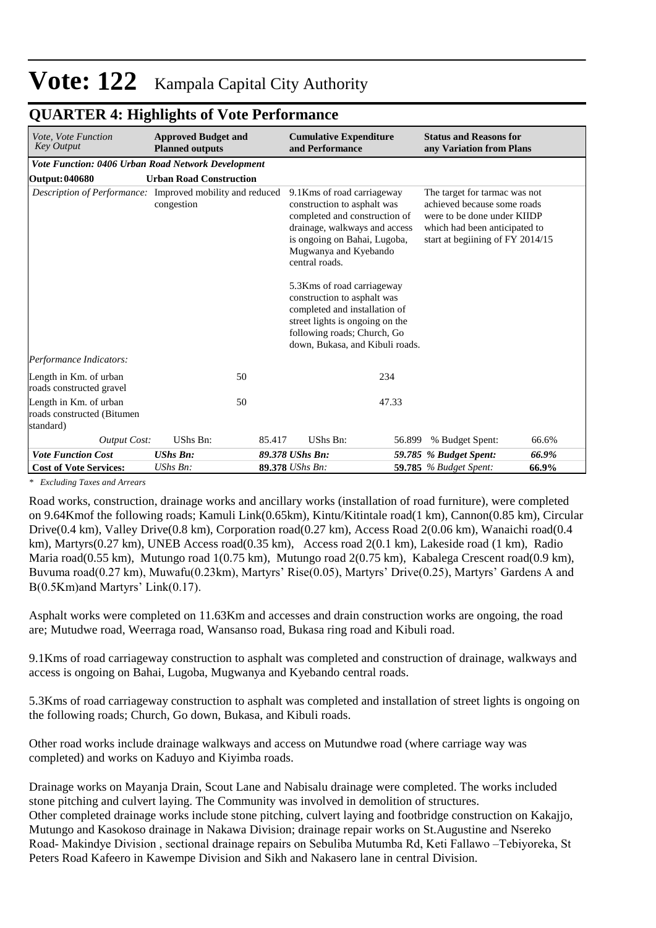| Vote, Vote Function<br><b>Key Output</b>                          | <b>Approved Budget and</b><br><b>Planned outputs</b> | <b>Cumulative Expenditure</b><br>and Performance                                                                                                                                                                                                                                                                                                                                                           |        | <b>Status and Reasons for</b><br>any Variation from Plans                                                                                                        |       |
|-------------------------------------------------------------------|------------------------------------------------------|------------------------------------------------------------------------------------------------------------------------------------------------------------------------------------------------------------------------------------------------------------------------------------------------------------------------------------------------------------------------------------------------------------|--------|------------------------------------------------------------------------------------------------------------------------------------------------------------------|-------|
| Vote Function: 0406 Urban Road Network Development                |                                                      |                                                                                                                                                                                                                                                                                                                                                                                                            |        |                                                                                                                                                                  |       |
| <b>Output: 040680</b>                                             | <b>Urban Road Construction</b>                       |                                                                                                                                                                                                                                                                                                                                                                                                            |        |                                                                                                                                                                  |       |
| Description of Performance: Improved mobility and reduced         | congestion                                           | 9.1 Kms of road carriageway<br>construction to asphalt was<br>completed and construction of<br>drainage, walkways and access<br>is ongoing on Bahai, Lugoba,<br>Mugwanya and Kyebando<br>central roads.<br>5.3Kms of road carriageway<br>construction to asphalt was<br>completed and installation of<br>street lights is ongoing on the<br>following roads; Church, Go<br>down, Bukasa, and Kibuli roads. |        | The target for tarmac was not<br>achieved because some roads<br>were to be done under KIIDP<br>which had been anticipated to<br>start at beginning of FY 2014/15 |       |
| Performance Indicators:                                           |                                                      |                                                                                                                                                                                                                                                                                                                                                                                                            |        |                                                                                                                                                                  |       |
| Length in Km. of urban<br>roads constructed gravel                | 50                                                   |                                                                                                                                                                                                                                                                                                                                                                                                            | 234    |                                                                                                                                                                  |       |
| Length in Km. of urban<br>roads constructed (Bitumen<br>standard) | 50                                                   |                                                                                                                                                                                                                                                                                                                                                                                                            | 47.33  |                                                                                                                                                                  |       |
| <b>Output Cost:</b>                                               | UShs Bn:                                             | UShs Bn:<br>85.417                                                                                                                                                                                                                                                                                                                                                                                         | 56.899 | % Budget Spent:                                                                                                                                                  | 66.6% |
| <b>Vote Function Cost</b>                                         | <b>UShs Bn:</b>                                      | 89.378 UShs Bn:                                                                                                                                                                                                                                                                                                                                                                                            |        | 59.785 % Budget Spent:                                                                                                                                           | 66.9% |
| <b>Cost of Vote Services:</b>                                     | $UShs Bn$ :                                          | 89.378 UShs Bn:                                                                                                                                                                                                                                                                                                                                                                                            |        | <b>59.785</b> % Budget Spent:                                                                                                                                    | 66.9% |

### **QUARTER 4: Highlights of Vote Performance**

*\* Excluding Taxes and Arrears*

Road works, construction, drainage works and ancillary works (installation of road furniture), were completed on 9.64Kmof the following roads; Kamuli Link(0.65km), Kintu/Kitintale road(1 km), Cannon(0.85 km), Circular Drive(0.4 km), Valley Drive(0.8 km), Corporation road(0.27 km), Access Road 2(0.06 km), Wanaichi road(0.4 km), Martyrs(0.27 km), UNEB Access road(0.35 km), Access road 2(0.1 km), Lakeside road (1 km), Radio Maria road(0.55 km), Mutungo road 1(0.75 km), Mutungo road 2(0.75 km), Kabalega Crescent road(0.9 km), Buvuma road(0.27 km), Muwafu(0.23km), Martyrs' Rise(0.05), Martyrs' Drive(0.25), Martyrs' Gardens A and B(0.5Km)and Martyrs' Link(0.17).

Asphalt works were completed on 11.63Km and accesses and drain construction works are ongoing, the road are; Mutudwe road, Weerraga road, Wansanso road, Bukasa ring road and Kibuli road.

9.1Kms of road carriageway construction to asphalt was completed and construction of drainage, walkways and access is ongoing on Bahai, Lugoba, Mugwanya and Kyebando central roads.

5.3Kms of road carriageway construction to asphalt was completed and installation of street lights is ongoing on the following roads; Church, Go down, Bukasa, and Kibuli roads.

Other road works include drainage walkways and access on Mutundwe road (where carriage way was completed) and works on Kaduyo and Kiyimba roads.

Drainage works on Mayanja Drain, Scout Lane and Nabisalu drainage were completed. The works included stone pitching and culvert laying. The Community was involved in demolition of structures. Other completed drainage works include stone pitching, culvert laying and footbridge construction on Kakajjo, Mutungo and Kasokoso drainage in Nakawa Division; drainage repair works on St.Augustine and Nsereko Road- Makindye Division , sectional drainage repairs on Sebuliba Mutumba Rd, Keti Fallawo –Tebiyoreka, St Peters Road Kafeero in Kawempe Division and Sikh and Nakasero lane in central Division.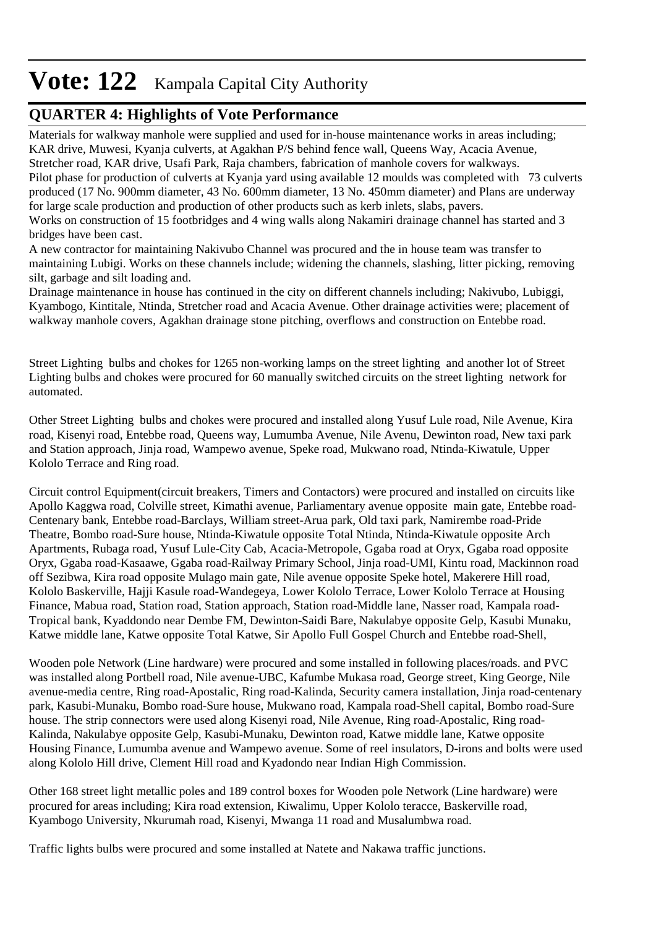## **QUARTER 4: Highlights of Vote Performance**

Materials for walkway manhole were supplied and used for in-house maintenance works in areas including; KAR drive, Muwesi, Kyanja culverts, at Agakhan P/S behind fence wall, Queens Way, Acacia Avenue, Stretcher road, KAR drive, Usafi Park, Raja chambers, fabrication of manhole covers for walkways. Pilot phase for production of culverts at Kyanja yard using available 12 moulds was completed with 73 culverts produced (17 No. 900mm diameter, 43 No. 600mm diameter, 13 No. 450mm diameter) and Plans are underway for large scale production and production of other products such as kerb inlets, slabs, pavers. Works on construction of 15 footbridges and 4 wing walls along Nakamiri drainage channel has started and 3

bridges have been cast.

A new contractor for maintaining Nakivubo Channel was procured and the in house team was transfer to maintaining Lubigi. Works on these channels include; widening the channels, slashing, litter picking, removing silt, garbage and silt loading and.

Drainage maintenance in house has continued in the city on different channels including; Nakivubo, Lubiggi, Kyambogo, Kintitale, Ntinda, Stretcher road and Acacia Avenue. Other drainage activities were; placement of walkway manhole covers, Agakhan drainage stone pitching, overflows and construction on Entebbe road.

Street Lighting bulbs and chokes for 1265 non-working lamps on the street lighting and another lot of Street Lighting bulbs and chokes were procured for 60 manually switched circuits on the street lighting network for automated.

Other Street Lighting bulbs and chokes were procured and installed along Yusuf Lule road, Nile Avenue, Kira road, Kisenyi road, Entebbe road, Queens way, Lumumba Avenue, Nile Avenu, Dewinton road, New taxi park and Station approach, Jinja road, Wampewo avenue, Speke road, Mukwano road, Ntinda-Kiwatule, Upper Kololo Terrace and Ring road.

Circuit control Equipment(circuit breakers, Timers and Contactors) were procured and installed on circuits like Apollo Kaggwa road, Colville street, Kimathi avenue, Parliamentary avenue opposite main gate, Entebbe road-Centenary bank, Entebbe road-Barclays, William street-Arua park, Old taxi park, Namirembe road-Pride Theatre, Bombo road-Sure house, Ntinda-Kiwatule opposite Total Ntinda, Ntinda-Kiwatule opposite Arch Apartments, Rubaga road, Yusuf Lule-City Cab, Acacia-Metropole, Ggaba road at Oryx, Ggaba road opposite Oryx, Ggaba road-Kasaawe, Ggaba road-Railway Primary School, Jinja road-UMI, Kintu road, Mackinnon road off Sezibwa, Kira road opposite Mulago main gate, Nile avenue opposite Speke hotel, Makerere Hill road, Kololo Baskerville, Hajji Kasule road-Wandegeya, Lower Kololo Terrace, Lower Kololo Terrace at Housing Finance, Mabua road, Station road, Station approach, Station road-Middle lane, Nasser road, Kampala road-Tropical bank, Kyaddondo near Dembe FM, Dewinton-Saidi Bare, Nakulabye opposite Gelp, Kasubi Munaku, Katwe middle lane, Katwe opposite Total Katwe, Sir Apollo Full Gospel Church and Entebbe road-Shell,

Wooden pole Network (Line hardware) were procured and some installed in following places/roads. and PVC was installed along Portbell road, Nile avenue-UBC, Kafumbe Mukasa road, George street, King George, Nile avenue-media centre, Ring road-Apostalic, Ring road-Kalinda, Security camera installation, Jinja road-centenary park, Kasubi-Munaku, Bombo road-Sure house, Mukwano road, Kampala road-Shell capital, Bombo road-Sure house. The strip connectors were used along Kisenyi road, Nile Avenue, Ring road-Apostalic, Ring road-Kalinda, Nakulabye opposite Gelp, Kasubi-Munaku, Dewinton road, Katwe middle lane, Katwe opposite Housing Finance, Lumumba avenue and Wampewo avenue. Some of reel insulators, D-irons and bolts were used along Kololo Hill drive, Clement Hill road and Kyadondo near Indian High Commission.

Other 168 street light metallic poles and 189 control boxes for Wooden pole Network (Line hardware) were procured for areas including; Kira road extension, Kiwalimu, Upper Kololo teracce, Baskerville road, Kyambogo University, Nkurumah road, Kisenyi, Mwanga 11 road and Musalumbwa road.

Traffic lights bulbs were procured and some installed at Natete and Nakawa traffic junctions.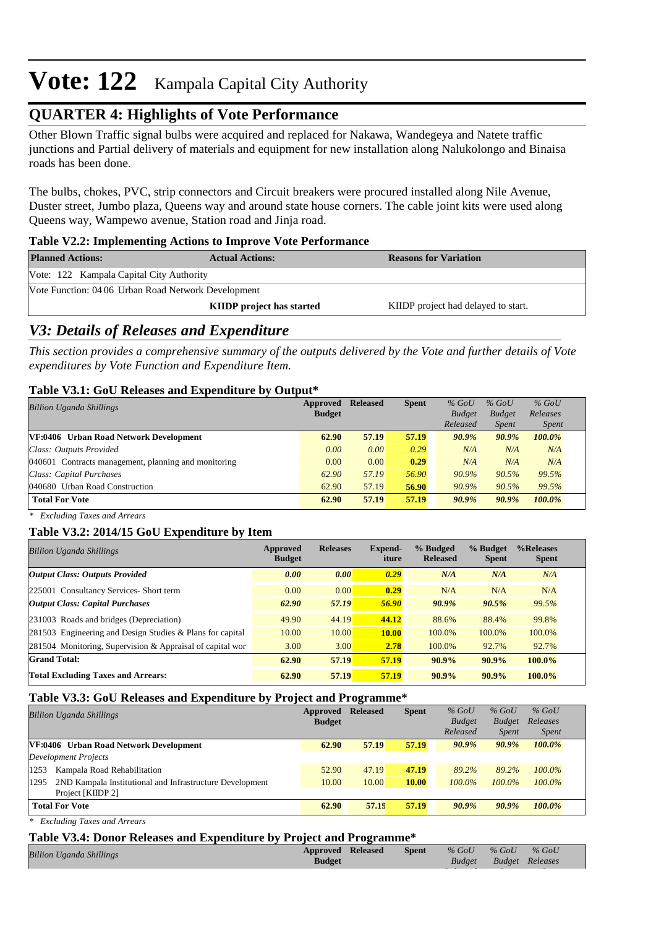## **QUARTER 4: Highlights of Vote Performance**

Other Blown Traffic signal bulbs were acquired and replaced for Nakawa, Wandegeya and Natete traffic junctions and Partial delivery of materials and equipment for new installation along Nalukolongo and Binaisa roads has been done.

The bulbs, chokes, PVC, strip connectors and Circuit breakers were procured installed along Nile Avenue, Duster street, Jumbo plaza, Queens way and around state house corners. The cable joint kits were used along Queens way, Wampewo avenue, Station road and Jinja road.

### **Table V2.2: Implementing Actions to Improve Vote Performance**

| <b>Planned Actions:</b>                             | <b>Actual Actions:</b>           | <b>Reasons for Variation</b>        |  |  |  |  |
|-----------------------------------------------------|----------------------------------|-------------------------------------|--|--|--|--|
| Vote: 122 Kampala Capital City Authority            |                                  |                                     |  |  |  |  |
| Vote Function: 04 06 Urban Road Network Development |                                  |                                     |  |  |  |  |
|                                                     | <b>KIIDP</b> project has started | KIIDP project had delayed to start. |  |  |  |  |

### *V3: Details of Releases and Expenditure*

*This section provides a comprehensive summary of the outputs delivered by the Vote and further details of Vote expenditures by Vote Function and Expenditure Item.*

### **Table V3.1: GoU Releases and Expenditure by Output\***

| <b>Billion Uganda Shillings</b>                      | Approved      | <b>Released</b> | <b>Spent</b> | $%$ GoU       | $%$ GoU       | $%$ GoU      |  |
|------------------------------------------------------|---------------|-----------------|--------------|---------------|---------------|--------------|--|
|                                                      | <b>Budget</b> |                 |              | <b>Budget</b> | <b>Budget</b> | Releases     |  |
|                                                      |               |                 |              | Released      | <i>Spent</i>  | <i>Spent</i> |  |
| VF:0406 Urban Road Network Development               | 62.90         | 57.19           | 57.19        | $90.9\%$      | 90.9%         | 100.0%       |  |
| Class: Outputs Provided                              | 0.00          | 0.00            | 0.29         | N/A           | N/A           | N/A          |  |
| 040601 Contracts management, planning and monitoring | 0.00          | 0.00            | 0.29         | N/A           | N/A           | N/A          |  |
| Class: Capital Purchases                             | 62.90         | 57.19           | 56.90        | 90.9%         | 90.5%         | 99.5%        |  |
| 040680 Urban Road Construction                       | 62.90         | 57.19           | 56.90        | 90.9%         | 90.5%         | 99.5%        |  |
| <b>Total For Vote</b>                                | 62.90         | 57.19           | 57.19        | $90.9\%$      | $90.9\%$      | 100.0%       |  |

*\* Excluding Taxes and Arrears*

### **Table V3.2: 2014/15 GoU Expenditure by Item**

| <b>Billion Uganda Shillings</b>                           | Approved<br><b>Budget</b> | <b>Releases</b> | Expend-<br>iture | % Budged<br><b>Released</b> | % Budget<br><b>Spent</b> | %Releases<br><b>Spent</b> |
|-----------------------------------------------------------|---------------------------|-----------------|------------------|-----------------------------|--------------------------|---------------------------|
| <b>Output Class: Outputs Provided</b>                     | 0.00                      | 0.00            | 0.29             | N/A                         | N/A                      | N/A                       |
| 225001 Consultancy Services- Short term                   | 0.00                      | 0.00            | 0.29             | N/A                         | N/A                      | N/A                       |
| <b>Output Class: Capital Purchases</b>                    | 62.90                     | 57.19           | 56.90            | $90.9\%$                    | 90.5%                    | 99.5%                     |
| 231003 Roads and bridges (Depreciation)                   | 49.90                     | 44.19           | 44.12            | 88.6%                       | 88.4%                    | 99.8%                     |
| 281503 Engineering and Design Studies & Plans for capital | 10.00                     | 10.00           | <b>10.00</b>     | 100.0%                      | 100.0%                   | 100.0%                    |
| 281504 Monitoring, Supervision & Appraisal of capital wor | 3.00                      | 3.00            | 2.78             | 100.0%                      | 92.7%                    | 92.7%                     |
| <b>Grand Total:</b>                                       | 62.90                     | 57.19           | 57.19            | $90.9\%$                    | $90.9\%$                 | 100.0%                    |
| <b>Total Excluding Taxes and Arrears:</b>                 | 62.90                     | 57.19           | 57.19            | 90.9%                       | 90.9%                    | $100.0\%$                 |

### **Table V3.3: GoU Releases and Expenditure by Project and Programme\***

| <b>Billion Uganda Shillings</b>                                  | Approved<br><b>Budget</b> | <b>Released</b> | <b>Spent</b> | $%$ GoU<br><b>Budget</b><br>Released | $%$ GoU<br><b>Budget</b><br><b>Spent</b> | $%$ GoU<br>Releases<br><i>Spent</i> |
|------------------------------------------------------------------|---------------------------|-----------------|--------------|--------------------------------------|------------------------------------------|-------------------------------------|
| VF:0406 Urban Road Network Development                           | 62.90                     | 57.19           | 57.19        | $90.9\%$                             | 90.9%                                    | 100.0%                              |
| Development Projects                                             |                           |                 |              |                                      |                                          |                                     |
| 1253<br>Kampala Road Rehabilitation                              | 52.90                     | 47.19           | 47.19        | 89.2%                                | 89.2%                                    | $100.0\%$                           |
| 2ND Kampala Institutional and Infrastructure Development<br>1295 | 10.00                     | 10.00           | 10.00        | $100.0\%$                            | $100.0\%$                                | $100.0\%$                           |
| Project [KIIDP 2]                                                |                           |                 |              |                                      |                                          |                                     |
| <b>Total For Vote</b>                                            | 62.90                     | 57.19           | 57.19        | $90.9\%$                             | $90.9\%$                                 | $100.0\%$                           |

*\* Excluding Taxes and Arrears*

#### **Table V3.4: Donor Releases and Expenditure by Project and Programme\***

| <b>Billion Uganda Shillings</b> |  | Approved Released | Spent | $\%$ GoU $\%$ GoU |                 | $\%$ GoU |
|---------------------------------|--|-------------------|-------|-------------------|-----------------|----------|
|                                 |  | <b>Budget</b>     |       | <b>Budget</b>     | Budget Releases |          |

*Released*

*Spent*

*Spent*